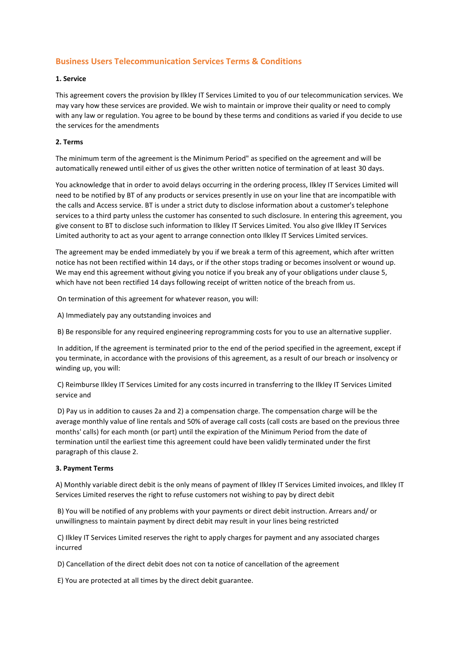# **Business Users Telecommunication Services Terms & Conditions**

# **1. Service**

This agreement covers the provision by Ilkley IT Services Limited to you of our telecommunication services. We may vary how these services are provided. We wish to maintain or improve their quality or need to comply with any law or regulation. You agree to be bound by these terms and conditions as varied if you decide to use the services for the amendments

# **2. Terms**

The minimum term of the agreement is the Minimum Period" as specified on the agreement and will be automatically renewed until either of us gives the other written notice of termination of at least 30 days.

You acknowledge that in order to avoid delays occurring in the ordering process, Ilkley IT Services Limited will need to be notified by BT of any products or services presently in use on your line that are incompatible with the calls and Access service. BT is under a strict duty to disclose information about a customer's telephone services to a third party unless the customer has consented to such disclosure. In entering this agreement, you give consent to BT to disclose such information to Ilkley IT Services Limited. You also give Ilkley IT Services Limited authority to act as your agent to arrange connection onto Ilkley IT Services Limited services.

The agreement may be ended immediately by you if we break a term of this agreement, which after written notice has not been rectified within 14 days, or if the other stops trading or becomes insolvent or wound up. We may end this agreement without giving you notice if you break any of your obligations under clause 5, which have not been rectified 14 days following receipt of written notice of the breach from us.

On termination of this agreement for whatever reason, you will:

A) Immediately pay any outstanding invoices and

B) Be responsible for any required engineering reprogramming costs for you to use an alternative supplier.

In addition, If the agreement is terminated prior to the end of the period specified in the agreement, except if you terminate, in accordance with the provisions of this agreement, as a result of our breach or insolvency or winding up, you will:

C) Reimburse Ilkley IT Services Limited for any costs incurred in transferring to the Ilkley IT Services Limited service and

D) Pay us in addition to causes 2a and 2) a compensation charge. The compensation charge will be the average monthly value of line rentals and 50% of average call costs (call costs are based on the previous three months' calls) for each month (or part) until the expiration of the Minimum Period from the date of termination until the earliest time this agreement could have been validly terminated under the first paragraph of this clause 2.

# **3. Payment Terms**

A) Monthly variable direct debit is the only means of payment of Ilkley IT Services Limited invoices, and Ilkley IT Services Limited reserves the right to refuse customers not wishing to pay by direct debit

B) You will be notified of any problems with your payments or direct debit instruction. Arrears and/ or unwillingness to maintain payment by direct debit may result in your lines being restricted

C) Ilkley IT Services Limited reserves the right to apply charges for payment and any associated charges incurred

D) Cancellation of the direct debit does not con ta notice of cancellation of the agreement

E) You are protected at all times by the direct debit guarantee.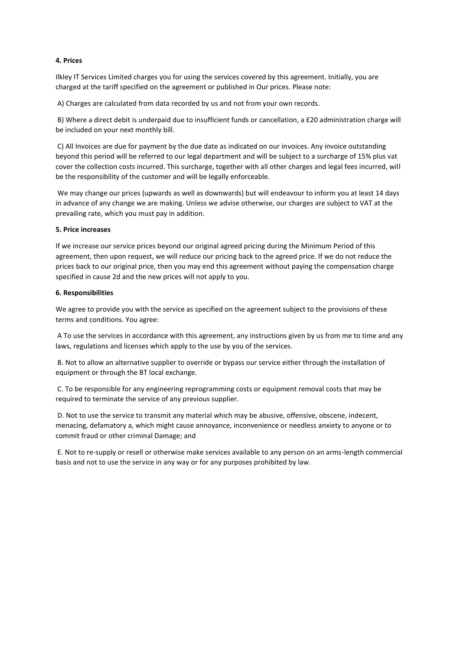# **4. Prices**

Ilkley IT Services Limited charges you for using the services covered by this agreement. Initially, you are charged at the tariff specified on the agreement or published in Our prices. Please note:

A) Charges are calculated from data recorded by us and not from your own records.

B) Where a direct debit is underpaid due to insufficient funds or cancellation, a £20 administration charge will be included on your next monthly bill.

C) All Invoices are due for payment by the due date as indicated on our invoices. Any invoice outstanding beyond this period will be referred to our legal department and will be subject to a surcharge of 15% plus vat cover the collection costs incurred. This surcharge, together with all other charges and legal fees incurred, will be the responsibility of the customer and will be legally enforceable.

We may change our prices (upwards as well as downwards) but will endeavour to inform you at least 14 days in advance of any change we are making. Unless we advise otherwise, our charges are subject to VAT at the prevailing rate, which you must pay in addition.

### **5. Price increases**

If we increase our service prices beyond our original agreed pricing during the Minimum Period of this agreement, then upon request, we will reduce our pricing back to the agreed price. If we do not reduce the prices back to our original price, then you may end this agreement without paying the compensation charge specified in cause 2d and the new prices will not apply to you.

# **6. Responsibilities**

We agree to provide you with the service as specified on the agreement subject to the provisions of these terms and conditions. You agree:

A To use the services in accordance with this agreement, any instructions given by us from me to time and any laws, regulations and licenses which apply to the use by you of the services.

B. Not to allow an alternative supplier to override or bypass our service either through the installation of equipment or through the BT local exchange.

C. To be responsible for any engineering reprogramming costs or equipment removal costs that may be required to terminate the service of any previous supplier.

D. Not to use the service to transmit any material which may be abusive, offensive, obscene, indecent, menacing, defamatory a, which might cause annoyance, inconvenience or needless anxiety to anyone or to commit fraud or other criminal Damage; and

E. Not to re-supply or resell or otherwise make services available to any person on an arms-length commercial basis and not to use the service in any way or for any purposes prohibited by law.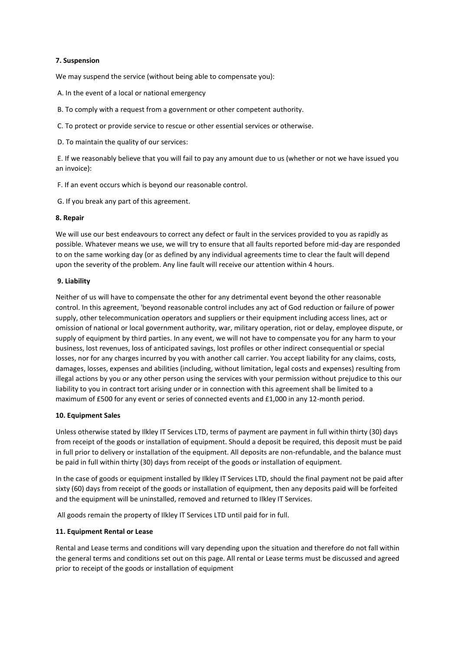# **7. Suspension**

We may suspend the service (without being able to compensate you):

A. In the event of a local or national emergency

B. To comply with a request from a government or other competent authority.

C. To protect or provide service to rescue or other essential services or otherwise.

D. To maintain the quality of our services:

E. If we reasonably believe that you will fail to pay any amount due to us (whether or not we have issued you an invoice):

F. If an event occurs which is beyond our reasonable control.

G. If you break any part of this agreement.

### **8. Repair**

We will use our best endeavours to correct any defect or fault in the services provided to you as rapidly as possible. Whatever means we use, we will try to ensure that all faults reported before mid-day are responded to on the same working day (or as defined by any individual agreements time to clear the fault will depend upon the severity of the problem. Any line fault will receive our attention within 4 hours.

### **9. Liability**

Neither of us will have to compensate the other for any detrimental event beyond the other reasonable control. In this agreement, 'beyond reasonable control includes any act of God reduction or failure of power supply, other telecommunication operators and suppliers or their equipment including access lines, act or omission of national or local government authority, war, military operation, riot or delay, employee dispute, or supply of equipment by third parties. In any event, we will not have to compensate you for any harm to your business, lost revenues, loss of anticipated savings, lost profiles or other indirect consequential or special losses, nor for any charges incurred by you with another call carrier. You accept liability for any claims, costs, damages, losses, expenses and abilities (including, without limitation, legal costs and expenses) resulting from illegal actions by you or any other person using the services with your permission without prejudice to this our liability to you in contract tort arising under or in connection with this agreement shall be limited to a maximum of £500 for any event or series of connected events and £1,000 in any 12-month period.

#### **10. Equipment Sales**

Unless otherwise stated by Ilkley IT Services LTD, terms of payment are payment in full within thirty (30) days from receipt of the goods or installation of equipment. Should a deposit be required, this deposit must be paid in full prior to delivery or installation of the equipment. All deposits are non-refundable, and the balance must be paid in full within thirty (30) days from receipt of the goods or installation of equipment.

In the case of goods or equipment installed by Ilkley IT Services LTD, should the final payment not be paid after sixty (60) days from receipt of the goods or installation of equipment, then any deposits paid will be forfeited and the equipment will be uninstalled, removed and returned to Ilkley IT Services.

All goods remain the property of Ilkley IT Services LTD until paid for in full.

# **11. Equipment Rental or Lease**

Rental and Lease terms and conditions will vary depending upon the situation and therefore do not fall within the general terms and conditions set out on this page. All rental or Lease terms must be discussed and agreed prior to receipt of the goods or installation of equipment